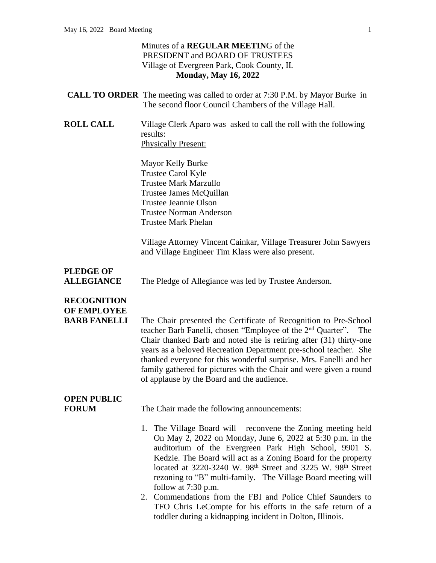#### Minutes of a **REGULAR MEETIN**G of the PRESIDENT and BOARD OF TRUSTEES Village of Evergreen Park, Cook County, IL **Monday, May 16, 2022**

|                  | <b>CALL TO ORDER</b> The meeting was called to order at 7:30 P.M. by Mayor Burke in<br>The second floor Council Chambers of the Village Hall. |
|------------------|-----------------------------------------------------------------------------------------------------------------------------------------------|
| <b>ROLL CALL</b> | Village Clerk Aparo was asked to call the roll with the following<br>results:                                                                 |

Physically Present:

Mayor Kelly Burke Trustee Carol Kyle Trustee Mark Marzullo Trustee James McQuillan Trustee Jeannie Olson Trustee Norman Anderson Trustee Mark Phelan

Village Attorney Vincent Cainkar, Village Treasurer John Sawyers and Village Engineer Tim Klass were also present.

# **PLEDGE OF**

**ALLEGIANCE** The Pledge of Allegiance was led by Trustee Anderson.

### **RECOGNITION OF EMPLOYEE**

**BARB FANELLI** The Chair presented the Certificate of Recognition to Pre-School teacher Barb Fanelli, chosen "Employee of the 2<sup>nd</sup> Quarter". The Chair thanked Barb and noted she is retiring after (31) thirty-one years as a beloved Recreation Department pre-school teacher. She thanked everyone for this wonderful surprise. Mrs. Fanelli and her family gathered for pictures with the Chair and were given a round of applause by the Board and the audience.

## **OPEN PUBLIC**

**FORUM** The Chair made the following announcements:

- 1. The Village Board will reconvene the Zoning meeting held On May 2, 2022 on Monday, June 6, 2022 at 5:30 p.m. in the auditorium of the Evergreen Park High School, 9901 S. Kedzie. The Board will act as a Zoning Board for the property located at 3220-3240 W. 98th Street and 3225 W. 98th Street rezoning to "B" multi-family. The Village Board meeting will follow at 7:30 p.m.
- 2. Commendations from the FBI and Police Chief Saunders to TFO Chris LeCompte for his efforts in the safe return of a toddler during a kidnapping incident in Dolton, Illinois.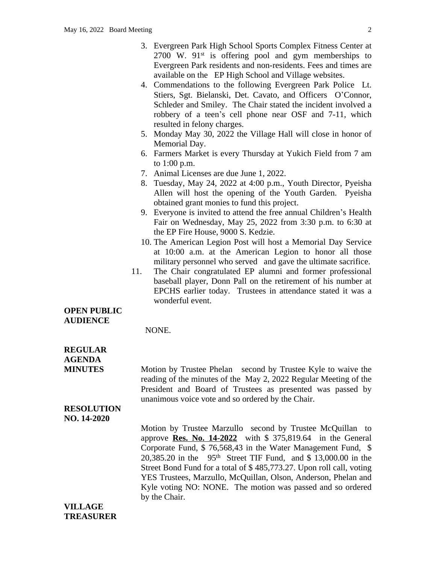- 3. Evergreen Park High School Sports Complex Fitness Center at  $2700$  W.  $91^{st}$  is offering pool and gym memberships to Evergreen Park residents and non-residents. Fees and times are available on the EP High School and Village websites.
- 4. Commendations to the following Evergreen Park Police Lt. Stiers, Sgt. Bielanski, Det. Cavato, and Officers O'Connor, Schleder and Smiley. The Chair stated the incident involved a robbery of a teen's cell phone near OSF and 7-11, which resulted in felony charges.
- 5. Monday May 30, 2022 the Village Hall will close in honor of Memorial Day.
- 6. Farmers Market is every Thursday at Yukich Field from 7 am to 1:00 p.m.
- 7. Animal Licenses are due June 1, 2022.
- 8. Tuesday, May 24, 2022 at 4:00 p.m., Youth Director, Pyeisha Allen will host the opening of the Youth Garden. Pyeisha obtained grant monies to fund this project.
- 9. Everyone is invited to attend the free annual Children's Health Fair on Wednesday, May 25, 2022 from 3:30 p.m. to 6:30 at the EP Fire House, 9000 S. Kedzie.
- 10. The American Legion Post will host a Memorial Day Service at 10:00 a.m. at the American Legion to honor all those military personnel who served and gave the ultimate sacrifice.
- 11. The Chair congratulated EP alumni and former professional baseball player, Donn Pall on the retirement of his number at EPCHS earlier today. Trustees in attendance stated it was a wonderful event.

#### **OPEN PUBLIC AUDIENCE**

NONE.

## **REGULAR AGENDA**

**MINUTES** Motion by Trustee Phelan second by Trustee Kyle to waive the reading of the minutes of the May 2, 2022 Regular Meeting of the President and Board of Trustees as presented was passed by unanimous voice vote and so ordered by the Chair.

#### **RESOLUTION NO. 14-2020**

Motion by Trustee Marzullo second by Trustee McQuillan to approve **Res. No. 14-2022** with \$ 375,819.64 in the General Corporate Fund, \$ 76,568,43 in the Water Management Fund, \$ 20,385.20 in the 95th Street TIF Fund, and \$ 13,000.00 in the Street Bond Fund for a total of \$ 485,773.27. Upon roll call, voting YES Trustees, Marzullo, McQuillan, Olson, Anderson, Phelan and Kyle voting NO: NONE. The motion was passed and so ordered by the Chair.

**VILLAGE TREASURER**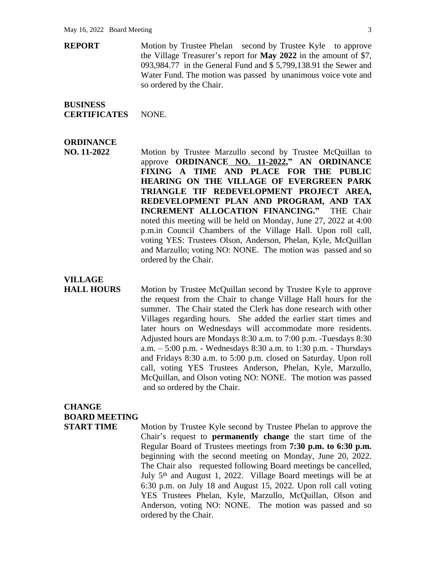**REPORT** Motion by Trustee Phelan second by Trustee Kyle to approve the Village Treasurer's report for **May 2022** in the amount of \$7, 093,984.77 in the General Fund and \$ 5,799,138.91 the Sewer and Water Fund. The motion was passed by unanimous voice vote and so ordered by the Chair.

## **BUSINESS**

**CERTIFICATES** NONE.

#### **ORDINANCE**

**NO. 11-2022** Motion by Trustee Marzullo second by Trustee McQuillan to approve **ORDINANCE NO. 11-2022, " AN ORDINANCE FIXING A TIME AND PLACE FOR THE PUBLIC HEARING ON THE VILLAGE OF EVERGREEN PARK TRIANGLE TIF REDEVELOPMENT PROJECT AREA, REDEVELOPMENT PLAN AND PROGRAM, AND TAX INCREMENT ALLOCATION FINANCING."** THE Chair noted this meeting will be held on Monday, June 27, 2022 at 4:00 p.m.in Council Chambers of the Village Hall. Upon roll call, voting YES: Trustees Olson, Anderson, Phelan, Kyle, McQuillan and Marzullo; voting NO: NONE. The motion was passed and so ordered by the Chair.

# **VILLAGE**

**HALL HOURS** Motion by Trustee McQuillan second by Trustee Kyle to approve the request from the Chair to change Village Hall hours for the summer. The Chair stated the Clerk has done research with other Villages regarding hours. She added the earlier start times and later hours on Wednesdays will accommodate more residents. Adjusted hours are Mondays 8:30 a.m. to 7:00 p.m. -Tuesdays 8:30 a.m. – 5:00 p.m. - Wednesdays 8:30 a.m. to 1:30 p.m. - Thursdays and Fridays 8:30 a.m. to 5:00 p.m. closed on Saturday. Upon roll call, voting YES Trustees Anderson, Phelan, Kyle, Marzullo, McQuillan, and Olson voting NO: NONE. The motion was passed and so ordered by the Chair.

### **CHANGE BOARD MEETING**

**START TIME** Motion by Trustee Kyle second by Trustee Phelan to approve the Chair's request to **permanently change** the start time of the Regular Board of Trustees meetings from **7:30 p.m. to 6:30 p.m.** beginning with the second meeting on Monday, June 20, 2022. The Chair also requested following Board meetings be cancelled, July 5<sup>th</sup> and August 1, 2022. Village Board meetings will be at 6:30 p.m. on July 18 and August 15, 2022. Upon roll call voting YES Trustees Phelan, Kyle, Marzullo, McQuillan, Olson and Anderson, voting NO: NONE. The motion was passed and so ordered by the Chair.